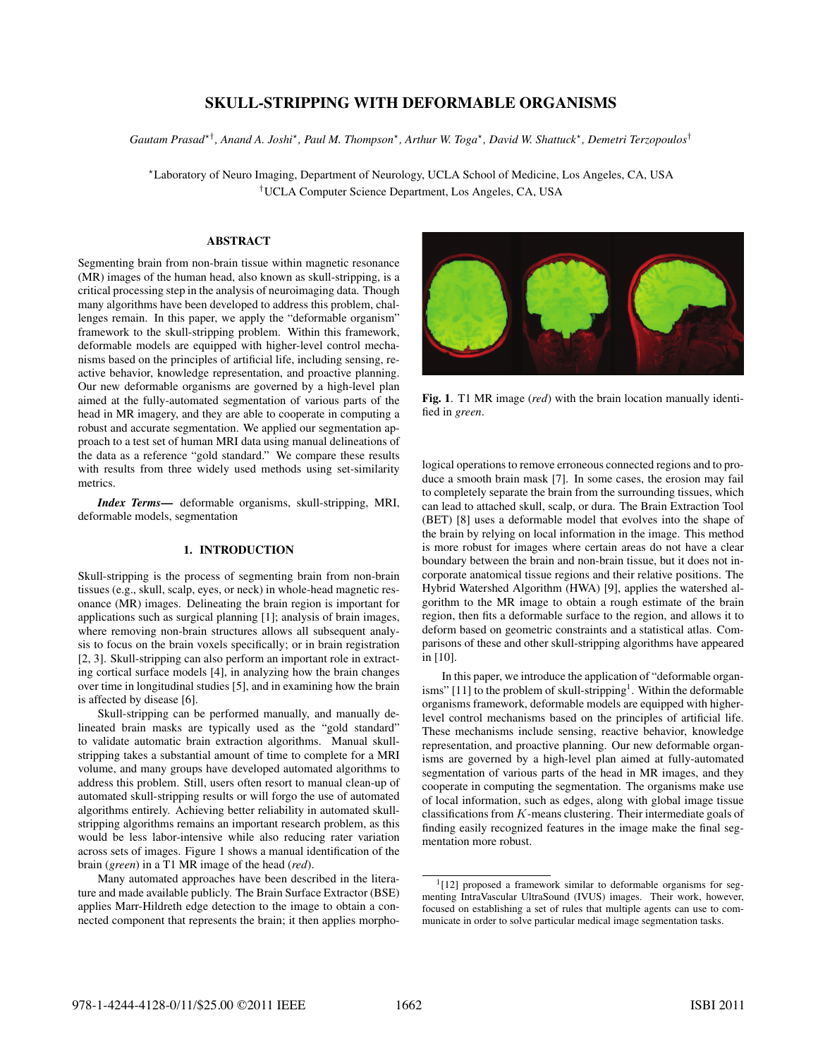# SKULL-STRIPPING WITH DEFORMABLE ORGANISMS

*Gautam Prasad*-†*, Anand A. Joshi*-*, Paul M. Thompson*-*, Arthur W. Toga*-*, David W. Shattuck*-*, Demetri Terzopoulos*†

-Laboratory of Neuro Imaging, Department of Neurology, UCLA School of Medicine, Los Angeles, CA, USA †UCLA Computer Science Department, Los Angeles, CA, USA

## ...........

Segmenting brain from non-brain tissue within magnetic resonance (MR) images of the human head, also known as skull-stripping, is a critical processing step in the analysis of neuroimaging data. Though many algorithms have been developed to address this problem, challenges remain. In this paper, we apply the "deformable organism" framework to the skull-stripping problem. Within this framework, deformable models are equipped with higher-level control mechanisms based on the principles of artificial life, including sensing, reactive behavior, knowledge representation, and proactive planning. Our new deformable organisms are governed by a high-level plan aimed at the fully-automated segmentation of various parts of the head in MR imagery, and they are able to cooperate in computing a robust and accurate segmentation. We applied our segmentation approach to a test set of human MRI data using manual delineations of the data as a reference "gold standard." We compare these results with results from three widely used methods using set-similarity metrics.

*Index Terms*— deformable organisms, skull-stripping, MRI, deformable models, segmentation

### 1. INTRODUCTION

Skull-stripping is the process of segmenting brain from non-brain tissues (e.g., skull, scalp, eyes, or neck) in whole-head magnetic resonance (MR) images. Delineating the brain region is important for applications such as surgical planning [1]; analysis of brain images, where removing non-brain structures allows all subsequent analysis to focus on the brain voxels specifically; or in brain registration [2, 3]. Skull-stripping can also perform an important role in extracting cortical surface models [4], in analyzing how the brain changes over time in longitudinal studies [5], and in examining how the brain is affected by disease [6].

Skull-stripping can be performed manually, and manually delineated brain masks are typically used as the "gold standard" to validate automatic brain extraction algorithms. Manual skullstripping takes a substantial amount of time to complete for a MRI volume, and many groups have developed automated algorithms to address this problem. Still, users often resort to manual clean-up of automated skull-stripping results or will forgo the use of automated algorithms entirely. Achieving better reliability in automated skullstripping algorithms remains an important research problem, as this would be less labor-intensive while also reducing rater variation across sets of images. Figure 1 shows a manual identification of the brain (*green*) in a T1 MR image of the head (*red*).

Many automated approaches have been described in the literature and made available publicly. The Brain Surface Extractor (BSE) applies Marr-Hildreth edge detection to the image to obtain a connected component that represents the brain; it then applies morpho-



Fig. 1. T1 MR image (*red*) with the brain location manually identified in *green*.

logical operations to remove erroneous connected regions and to produce a smooth brain mask [7]. In some cases, the erosion may fail to completely separate the brain from the surrounding tissues, which can lead to attached skull, scalp, or dura. The Brain Extraction Tool (BET) [8] uses a deformable model that evolves into the shape of the brain by relying on local information in the image. This method is more robust for images where certain areas do not have a clear boundary between the brain and non-brain tissue, but it does not incorporate anatomical tissue regions and their relative positions. The Hybrid Watershed Algorithm (HWA) [9], applies the watershed algorithm to the MR image to obtain a rough estimate of the brain region, then fits a deformable surface to the region, and allows it to deform based on geometric constraints and a statistical atlas. Comparisons of these and other skull-stripping algorithms have appeared in [10].

In this paper, we introduce the application of "deformable organisms" [11] to the problem of skull-stripping<sup>1</sup>. Within the deformable organisms framework, deformable models are equipped with higherlevel control mechanisms based on the principles of artificial life. These mechanisms include sensing, reactive behavior, knowledge representation, and proactive planning. Our new deformable organisms are governed by a high-level plan aimed at fully-automated segmentation of various parts of the head in MR images, and they cooperate in computing the segmentation. The organisms make use of local information, such as edges, along with global image tissue classifications from  $K$ -means clustering. Their intermediate goals of finding easily recognized features in the image make the final segmentation more robust.

 $1$ [12] proposed a framework similar to deformable organisms for segmenting IntraVascular UltraSound (IVUS) images. Their work, however, focused on establishing a set of rules that multiple agents can use to communicate in order to solve particular medical image segmentation tasks.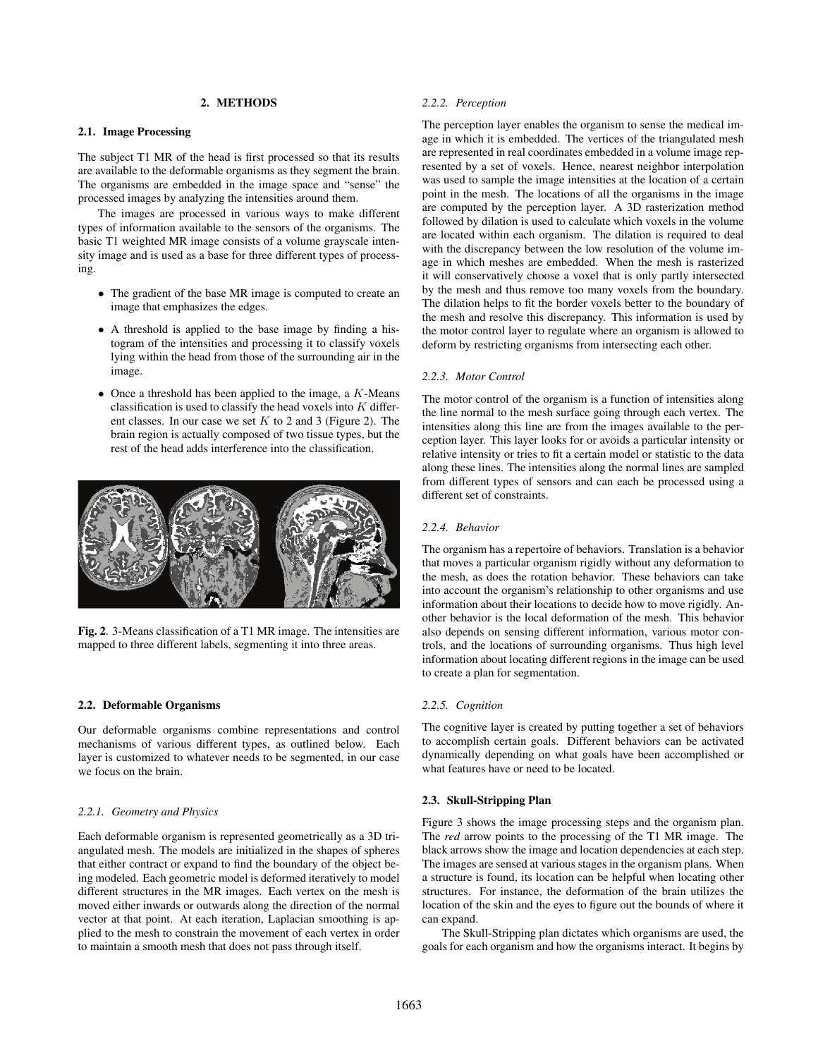## 2. METHODS

#### 2.1. Image Processing

The subject T1 MR of the head is first processed so that its results are available to the deformable organisms as they segment the brain. The organisms are embedded in the image space and "sense" the processed images by analyzing the intensities around them.

The images are processed in various ways to make different types of information available to the sensors of the organisms. The basic T1 weighted MR image consists of a volume grayscale intensity image and is used as a base for three different types of processing.

- The gradient of the base MR image is computed to create an image that emphasizes the edges.
- A threshold is applied to the base image by finding a histogram of the intensities and processing it to classify voxels lying within the head from those of the surrounding air in the image.
- Once a threshold has been applied to the image, a  $K$ -Means classification is used to classify the head voxels into  $K$  different classes. In our case we set  $K$  to 2 and 3 (Figure 2). The brain region is actually composed of two tissue types, but the rest of the head adds interference into the classification.



Fig. 2. 3-Means classification of a T1 MR image. The intensities are mapped to three different labels, segmenting it into three areas.

#### 2.2. Deformable Organisms

Our deformable organisms combine representations and control mechanisms of various different types, as outlined below. Each layer is customized to whatever needs to be segmented, in our case we focus on the brain.

#### *2.2.1. Geometry and Physics*

Each deformable organism is represented geometrically as a 3D triangulated mesh. The models are initialized in the shapes of spheres that either contract or expand to find the boundary of the object being modeled. Each geometric model is deformed iteratively to model different structures in the MR images. Each vertex on the mesh is moved either inwards or outwards along the direction of the normal vector at that point. At each iteration, Laplacian smoothing is applied to the mesh to constrain the movement of each vertex in order to maintain a smooth mesh that does not pass through itself.

#### *2.2.2. Perception*

The perception layer enables the organism to sense the medical image in which it is embedded. The vertices of the triangulated mesh are represented in real coordinates embedded in a volume image represented by a set of voxels. Hence, nearest neighbor interpolation was used to sample the image intensities at the location of a certain point in the mesh. The locations of all the organisms in the image are computed by the perception layer. A 3D rasterization method followed by dilation is used to calculate which voxels in the volume are located within each organism. The dilation is required to deal with the discrepancy between the low resolution of the volume image in which meshes are embedded. When the mesh is rasterized it will conservatively choose a voxel that is only partly intersected by the mesh and thus remove too many voxels from the boundary. The dilation helps to fit the border voxels better to the boundary of the mesh and resolve this discrepancy. This information is used by the motor control layer to regulate where an organism is allowed to deform by restricting organisms from intersecting each other.

#### *2.2.3. Motor Control*

The motor control of the organism is a function of intensities along the line normal to the mesh surface going through each vertex. The intensities along this line are from the images available to the perception layer. This layer looks for or avoids a particular intensity or relative intensity or tries to fit a certain model or statistic to the data along these lines. The intensities along the normal lines are sampled from different types of sensors and can each be processed using a different set of constraints.

#### *2.2.4. Behavior*

The organism has a repertoire of behaviors. Translation is a behavior that moves a particular organism rigidly without any deformation to the mesh, as does the rotation behavior. These behaviors can take into account the organism's relationship to other organisms and use information about their locations to decide how to move rigidly. Another behavior is the local deformation of the mesh. This behavior also depends on sensing different information, various motor controls, and the locations of surrounding organisms. Thus high level information about locating different regions in the image can be used to create a plan for segmentation.

#### *2.2.5. Cognition*

The cognitive layer is created by putting together a set of behaviors to accomplish certain goals. Different behaviors can be activated dynamically depending on what goals have been accomplished or what features have or need to be located.

#### 2.3. Skull-Stripping Plan

Figure 3 shows the image processing steps and the organism plan. The *red* arrow points to the processing of the T1 MR image. The black arrows show the image and location dependencies at each step. The images are sensed at various stages in the organism plans. When a structure is found, its location can be helpful when locating other structures. For instance, the deformation of the brain utilizes the location of the skin and the eyes to figure out the bounds of where it can expand.

The Skull-Stripping plan dictates which organisms are used, the goals for each organism and how the organisms interact. It begins by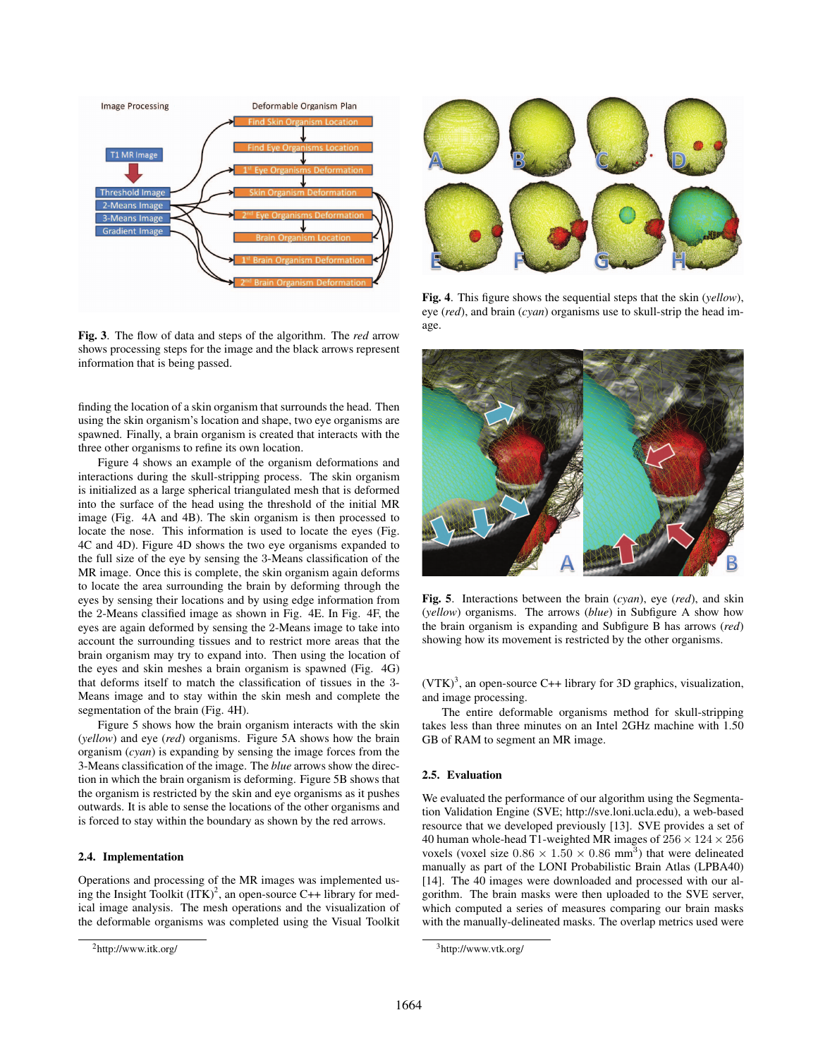

Fig. 3. The flow of data and steps of the algorithm. The *red* arrow shows processing steps for the image and the black arrows represent information that is being passed.

finding the location of a skin organism that surrounds the head. Then using the skin organism's location and shape, two eye organisms are spawned. Finally, a brain organism is created that interacts with the three other organisms to refine its own location.

Figure 4 shows an example of the organism deformations and interactions during the skull-stripping process. The skin organism is initialized as a large spherical triangulated mesh that is deformed into the surface of the head using the threshold of the initial MR image (Fig. 4A and 4B). The skin organism is then processed to locate the nose. This information is used to locate the eyes (Fig. 4C and 4D). Figure 4D shows the two eye organisms expanded to the full size of the eye by sensing the 3-Means classification of the MR image. Once this is complete, the skin organism again deforms to locate the area surrounding the brain by deforming through the eyes by sensing their locations and by using edge information from the 2-Means classified image as shown in Fig. 4E. In Fig. 4F, the eyes are again deformed by sensing the 2-Means image to take into account the surrounding tissues and to restrict more areas that the brain organism may try to expand into. Then using the location of the eyes and skin meshes a brain organism is spawned (Fig. 4G) that deforms itself to match the classification of tissues in the 3- Means image and to stay within the skin mesh and complete the segmentation of the brain (Fig. 4H).

Figure 5 shows how the brain organism interacts with the skin (*yellow*) and eye (*red*) organisms. Figure 5A shows how the brain organism (*cyan*) is expanding by sensing the image forces from the 3-Means classification of the image. The *blue* arrows show the direction in which the brain organism is deforming. Figure 5B shows that the organism is restricted by the skin and eye organisms as it pushes outwards. It is able to sense the locations of the other organisms and is forced to stay within the boundary as shown by the red arrows.

# 2.4. Implementation

Operations and processing of the MR images was implemented using the Insight Toolkit  $(ITK)^2$ , an open-source C++ library for medical image analysis. The mesh operations and the visualization of the deformable organisms was completed using the Visual Toolkit



Fig. 4. This figure shows the sequential steps that the skin (*yellow*), eye (*red*), and brain (*cyan*) organisms use to skull-strip the head image.



Fig. 5. Interactions between the brain (*cyan*), eye (*red*), and skin (*yellow*) organisms. The arrows (*blue*) in Subfigure A show how the brain organism is expanding and Subfigure B has arrows (*red*) showing how its movement is restricted by the other organisms.

 $(VTK)^3$ , an open-source C++ library for 3D graphics, visualization, and image processing.

The entire deformable organisms method for skull-stripping takes less than three minutes on an Intel 2GHz machine with 1.50 GB of RAM to segment an MR image.

#### 2.5. Evaluation

We evaluated the performance of our algorithm using the Segmentation Validation Engine (SVE; http://sve.loni.ucla.edu), a web-based resource that we developed previously [13]. SVE provides a set of 40 human whole-head T1-weighted MR images of  $256 \times 124 \times 256$ voxels (voxel size  $0.86 \times 1.50 \times 0.86$  mm<sup>3</sup>) that were delineated manually as part of the LONI Probabilistic Brain Atlas (LPBA40) [14]. The 40 images were downloaded and processed with our algorithm. The brain masks were then uploaded to the SVE server, which computed a series of measures comparing our brain masks with the manually-delineated masks. The overlap metrics used were

<sup>2</sup>http://www.itk.org/

<sup>3</sup>http://www.vtk.org/